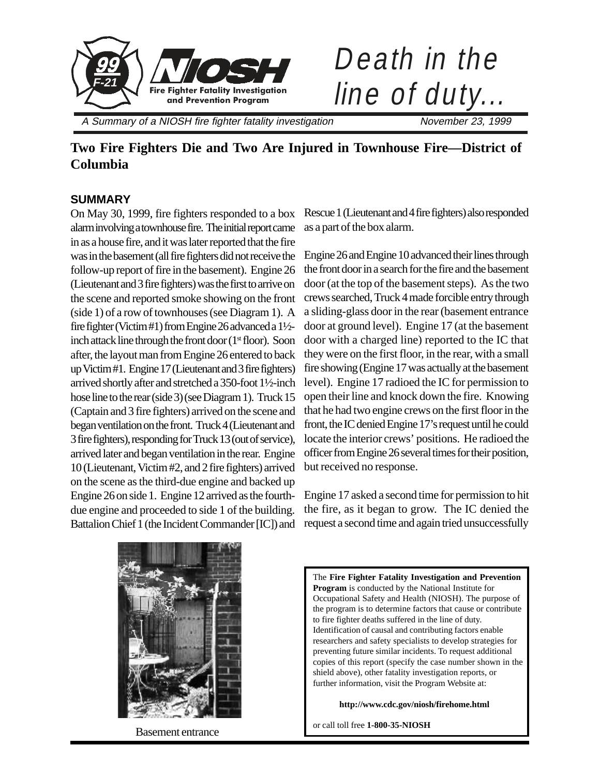



A Summary of a NIOSH fire fighter fatality investigation November 23, 1999

# **Two Fire Fighters Die and Two Are Injured in Townhouse Fire—District of Columbia**

### **SUMMARY**

On May 30, 1999, fire fighters responded to a box alarm involving a townhouse fire. The initial report came in as a house fire, and it was later reported that the fire was in the basement (all fire fighters did not receive the follow-up report of fire in the basement). Engine 26 (Lieutenant and 3 fire fighters) was the first to arrive on the scene and reported smoke showing on the front (side 1) of a row of townhouses (see Diagram 1). A fire fighter (Victim #1) from Engine 26 advanced a 1½ inch attack line through the front door  $(1<sup>st</sup>$  floor). Soon after, the layout man from Engine 26 entered to back up Victim #1. Engine 17 (Lieutenant and 3 fire fighters) arrived shortly after and stretched a 350-foot 1½-inch hose line to the rear (side 3) (see Diagram 1). Truck 15 (Captain and 3 fire fighters) arrived on the scene and began ventilation on the front. Truck 4 (Lieutenant and 3 fire fighters), responding for Truck 13 (out of service), arrived later and began ventilation in the rear. Engine 10 (Lieutenant, Victim #2, and 2 fire fighters) arrived on the scene as the third-due engine and backed up Engine 26 on side 1. Engine 12 arrived as the fourthdue engine and proceeded to side 1 of the building. Battalion Chief 1 (the Incident Commander [IC]) and Rescue 1 (Lieutenant and 4 fire fighters) also responded as a part of the box alarm.

Engine 26 and Engine 10 advanced their lines through the front door in a search for the fire and the basement door (at the top of the basement steps). As the two crews searched, Truck 4 made forcible entry through a sliding-glass door in the rear (basement entrance door at ground level). Engine 17 (at the basement door with a charged line) reported to the IC that they were on the first floor, in the rear, with a small fire showing (Engine 17 was actually at the basement level). Engine 17 radioed the IC for permission to open their line and knock down the fire. Knowing that he had two engine crews on the first floor in the front, the IC denied Engine 17's request until he could locate the interior crews' positions. He radioed the officer from Engine 26 several times for their position, but received no response.

Engine 17 asked a second time for permission to hit the fire, as it began to grow. The IC denied the request a second time and again tried unsuccessfully



Basement entrance

The **Fire Fighter Fatality Investigation and Prevention Program** is conducted by the National Institute for Occupational Safety and Health (NIOSH). The purpose of the program is to determine factors that cause or contribute to fire fighter deaths suffered in the line of duty. Identification of causal and contributing factors enable researchers and safety specialists to develop strategies for preventing future similar incidents. To request additional copies of this report (specify the case number shown in the shield above), other fatality investigation reports, or further information, visit the Program Website at:

**http://www.cdc.gov/niosh/firehome.html**

or call toll free **1-800-35-NIOSH**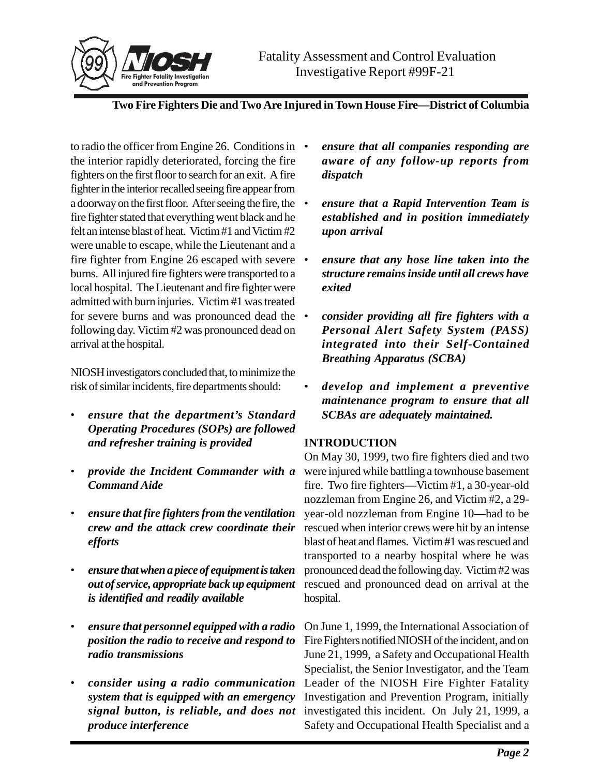

to radio the officer from Engine 26. Conditions in  $\bullet$ the interior rapidly deteriorated, forcing the fire fighters on the first floor to search for an exit. A fire fighter in the interior recalled seeing fire appear from a doorway on the first floor. After seeing the fire, the fire fighter stated that everything went black and he felt an intense blast of heat. Victim #1 and Victim #2 were unable to escape, while the Lieutenant and a fire fighter from Engine 26 escaped with severe • burns. All injured fire fighters were transported to a local hospital. The Lieutenant and fire fighter were admitted with burn injuries. Victim #1 was treated for severe burns and was pronounced dead the  $\bullet$ following day. Victim #2 was pronounced dead on arrival at the hospital.

NIOSH investigators concluded that, to minimize the risk of similar incidents, fire departments should:

- *ensure that the department's Standard Operating Procedures (SOPs) are followed and refresher training is provided*
- *provide the Incident Commander with a Command Aide*
- *ensure that fire fighters from the ventilation crew and the attack crew coordinate their efforts*
- *ensure that when a piece of equipment is taken out of service, appropriate back up equipment is identified and readily available*
- *ensure that personnel equipped with a radio position the radio to receive and respond to radio transmissions*
- *consider using a radio communication system that is equipped with an emergency signal button, is reliable, and does not produce interference*
- *ensure that all companies responding are aware of any follow-up reports from dispatch*
- *ensure that a Rapid Intervention Team is established and in position immediately upon arrival*
- *ensure that any hose line taken into the structure remains inside until all crews have exited*
- *consider providing all fire fighters with a Personal Alert Safety System (PASS) integrated into their Self-Contained Breathing Apparatus (SCBA)*
- *develop and implement a preventive maintenance program to ensure that all SCBAs are adequately maintained.*

## **INTRODUCTION**

On May 30, 1999, two fire fighters died and two were injured while battling a townhouse basement fire. Two fire fighters**—**Victim #1, a 30-year-old nozzleman from Engine 26, and Victim #2, a 29 year-old nozzleman from Engine 10**—**had to be rescued when interior crews were hit by an intense blast of heat and flames. Victim #1 was rescued and transported to a nearby hospital where he was pronounced dead the following day. Victim #2 was rescued and pronounced dead on arrival at the hospital.

On June 1, 1999, the International Association of Fire Fighters notified NIOSH of the incident, and on June 21, 1999, a Safety and Occupational Health Specialist, the Senior Investigator, and the Team Leader of the NIOSH Fire Fighter Fatality Investigation and Prevention Program, initially investigated this incident. On July 21, 1999, a Safety and Occupational Health Specialist and a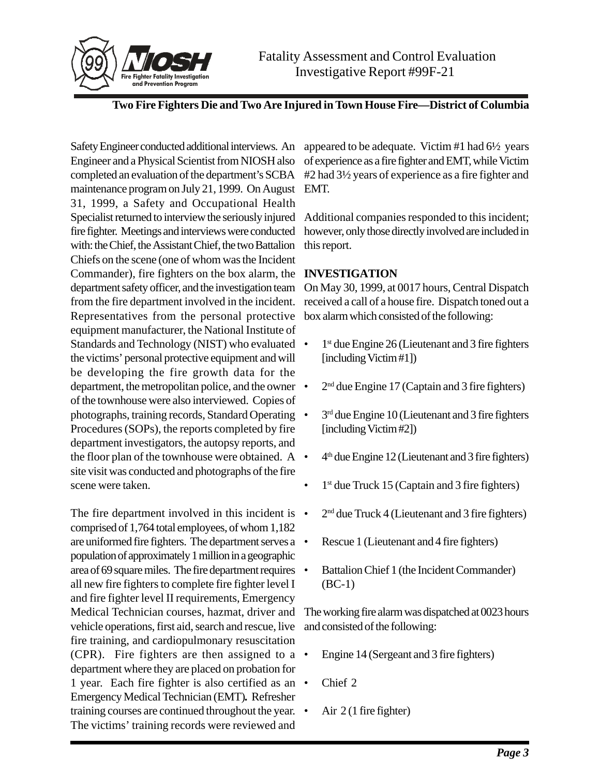

Safety Engineer conducted additional interviews. An appeared to be adequate. Victim #1 had 6½ years Engineer and a Physical Scientist from NIOSH also completed an evaluation of the department's SCBA maintenance program on July 21, 1999. On August EMT. 31, 1999, a Safety and Occupational Health Specialist returned to interview the seriously injured fire fighter. Meetings and interviews were conducted with: the Chief, the Assistant Chief, the two Battalion Chiefs on the scene (one of whom was the Incident Commander), fire fighters on the box alarm, the **INVESTIGATION** department safety officer, and the investigation team from the fire department involved in the incident. Representatives from the personal protective equipment manufacturer, the National Institute of Standards and Technology (NIST) who evaluated • the victims' personal protective equipment and will be developing the fire growth data for the department, the metropolitan police, and the owner of the townhouse were also interviewed. Copies of photographs, training records, Standard Operating Procedures (SOPs), the reports completed by fire department investigators, the autopsy reports, and the floor plan of the townhouse were obtained. A • site visit was conducted and photographs of the fire scene were taken.

The fire department involved in this incident is  $\bullet$ comprised of 1,764 total employees, of whom 1,182 are uniformed fire fighters. The department serves a population of approximately 1 million in a geographic area of 69 square miles. The fire department requires all new fire fighters to complete fire fighter level I and fire fighter level II requirements, Emergency Medical Technician courses, hazmat, driver and vehicle operations, first aid, search and rescue, live fire training, and cardiopulmonary resuscitation (CPR). Fire fighters are then assigned to a  $\bullet$ department where they are placed on probation for 1 year. Each fire fighter is also certified as an  $\bullet$ Emergency Medical Technician (EMT)*.* Refresher training courses are continued throughout the year.  $\bullet$ The victims' training records were reviewed and

of experience as a fire fighter and EMT, while Victim #2 had 3½ years of experience as a fire fighter and

Additional companies responded to this incident; however, only those directly involved are included in this report.

On May 30, 1999, at 0017 hours, Central Dispatch received a call of a house fire. Dispatch toned out a box alarm which consisted of the following:

- 1<sup>st</sup> due Engine 26 (Lieutenant and 3 fire fighters [including Victim #1])
- 2nd due Engine 17 (Captain and 3 fire fighters)
- 3<sup>rd</sup> due Engine 10 (Lieutenant and 3 fire fighters [including Victim #2])
- $4<sup>th</sup>$  due Engine 12 (Lieutenant and 3 fire fighters)
- $\bullet$  1<sup>st</sup> due Truck 15 (Captain and 3 fire fighters)
- $2<sup>nd</sup>$  due Truck 4 (Lieutenant and 3 fire fighters)
- Rescue 1 (Lieutenant and 4 fire fighters)
- Battalion Chief 1 (the Incident Commander) (BC-1)

The working fire alarm was dispatched at 0023 hours and consisted of the following:

- Engine 14 (Sergeant and 3 fire fighters)
- Chief 2
- Air  $2(1$  fire fighter)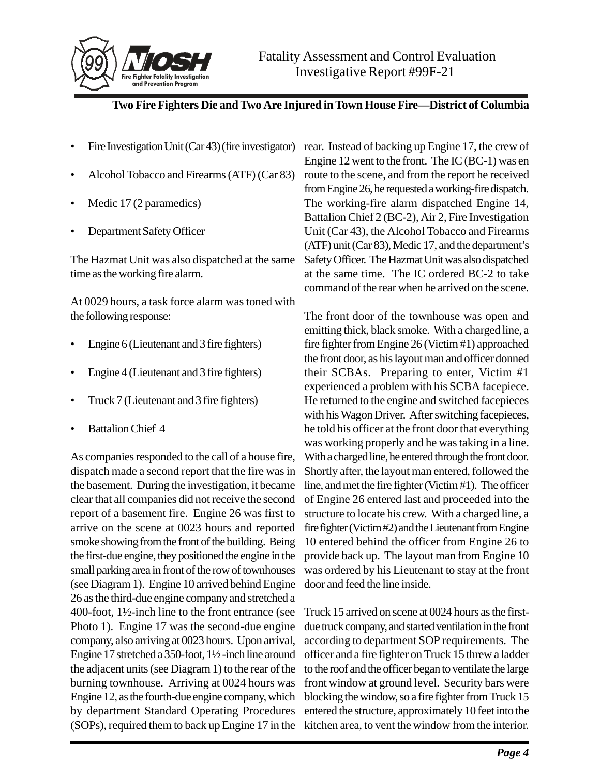

- Fire Investigation Unit (Car 43) (fire investigator)
- Alcohol Tobacco and Firearms (ATF) (Car 83)
- Medic 17 (2 paramedics)
- Department Safety Officer

The Hazmat Unit was also dispatched at the same time as the working fire alarm.

At 0029 hours, a task force alarm was toned with the following response:

- Engine 6 (Lieutenant and 3 fire fighters)
- Engine 4 (Lieutenant and 3 fire fighters)
- Truck 7 (Lieutenant and 3 fire fighters)
- **Battalion Chief 4**

As companies responded to the call of a house fire, dispatch made a second report that the fire was in the basement. During the investigation, it became clear that all companies did not receive the second report of a basement fire. Engine 26 was first to arrive on the scene at 0023 hours and reported smoke showing from the front of the building. Being the first-due engine, they positioned the engine in the small parking area in front of the row of townhouses (see Diagram 1). Engine 10 arrived behind Engine 26 as the third-due engine company and stretched a 400-foot, 1½-inch line to the front entrance (see Photo 1). Engine 17 was the second-due engine company, also arriving at 0023 hours. Upon arrival, Engine 17 stretched a 350-foot, 1½ -inch line around the adjacent units (see Diagram 1) to the rear of the burning townhouse. Arriving at 0024 hours was Engine 12, as the fourth-due engine company, which by department Standard Operating Procedures (SOPs), required them to back up Engine 17 in the

rear. Instead of backing up Engine 17, the crew of Engine 12 went to the front. The IC (BC-1) was en route to the scene, and from the report he received from Engine 26, he requested a working-fire dispatch. The working-fire alarm dispatched Engine 14, Battalion Chief 2 (BC-2), Air 2, Fire Investigation Unit (Car 43), the Alcohol Tobacco and Firearms (ATF) unit (Car 83), Medic 17, and the department's Safety Officer. The Hazmat Unit was also dispatched at the same time. The IC ordered BC-2 to take command of the rear when he arrived on the scene.

The front door of the townhouse was open and emitting thick, black smoke. With a charged line, a fire fighter from Engine 26 (Victim #1) approached the front door, as his layout man and officer donned their SCBAs. Preparing to enter, Victim #1 experienced a problem with his SCBA facepiece. He returned to the engine and switched facepieces with his Wagon Driver. After switching facepieces, he told his officer at the front door that everything was working properly and he was taking in a line. With a charged line, he entered through the front door. Shortly after, the layout man entered, followed the line, and met the fire fighter (Victim #1). The officer of Engine 26 entered last and proceeded into the structure to locate his crew. With a charged line, a fire fighter (Victim #2) and the Lieutenant from Engine 10 entered behind the officer from Engine 26 to provide back up. The layout man from Engine 10 was ordered by his Lieutenant to stay at the front door and feed the line inside.

Truck 15 arrived on scene at 0024 hours as the firstdue truck company, and started ventilation in the front according to department SOP requirements. The officer and a fire fighter on Truck 15 threw a ladder to the roof and the officer began to ventilate the large front window at ground level. Security bars were blocking the window, so a fire fighter from Truck 15 entered the structure, approximately 10 feet into the kitchen area, to vent the window from the interior.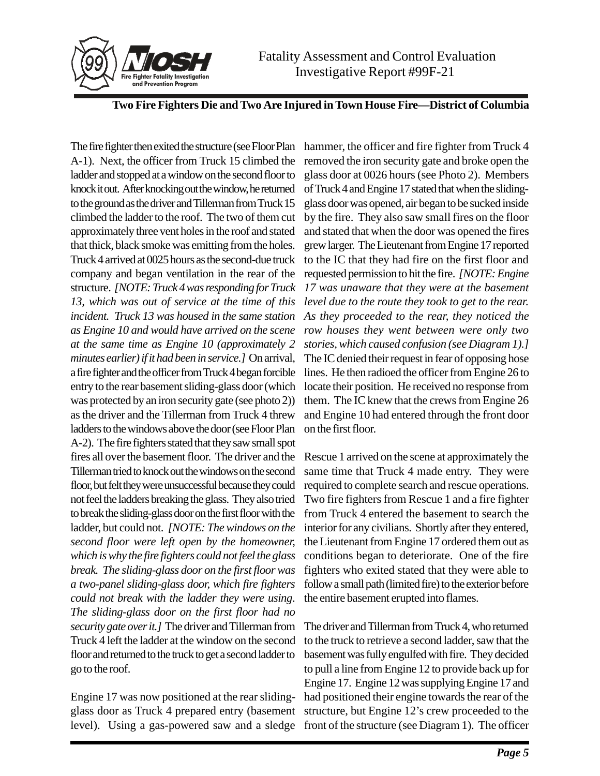



The fire fighter then exited the structure (see Floor Plan A-1). Next, the officer from Truck 15 climbed the ladder and stopped at a window on the second floor to knock it out. After knocking out the window, he returned to the ground as the driver and Tillerman from Truck 15 climbed the ladder to the roof. The two of them cut approximately three vent holes in the roof and stated that thick, black smoke was emitting from the holes. Truck 4 arrived at 0025 hours as the second-due truck company and began ventilation in the rear of the structure. *[NOTE: Truck 4 was responding for Truck 13, which was out of service at the time of this incident. Truck 13 was housed in the same station as Engine 10 and would have arrived on the scene at the same time as Engine 10 (approximately 2 minutes earlier) if it had been in service.]* On arrival, a fire fighter and the officer from Truck 4 began forcible entry to the rear basement sliding-glass door (which was protected by an iron security gate (see photo 2)) as the driver and the Tillerman from Truck 4 threw ladders to the windows above the door (see Floor Plan A-2). The fire fighters stated that they saw small spot fires all over the basement floor. The driver and the Tillerman tried to knock out the windows on the second floor, but felt they were unsuccessful because they could not feel the ladders breaking the glass. They also tried to break the sliding-glass door on the first floor with the ladder, but could not. *[NOTE: The windows on the second floor were left open by the homeowner, which is why the fire fighters could not feel the glass break. The sliding-glass door on the first floor was a two-panel sliding-glass door, which fire fighters could not break with the ladder they were using*. *The sliding-glass door on the first floor had no security gate over it.]* The driver and Tillerman from Truck 4 left the ladder at the window on the second floor and returned to the truck to get a second ladder to go to the roof.

Engine 17 was now positioned at the rear slidingglass door as Truck 4 prepared entry (basement level). Using a gas-powered saw and a sledge

hammer, the officer and fire fighter from Truck 4 removed the iron security gate and broke open the glass door at 0026 hours (see Photo 2). Members of Truck 4 and Engine 17 stated that when the slidingglass door was opened, air began to be sucked inside by the fire. They also saw small fires on the floor and stated that when the door was opened the fires grew larger. The Lieutenant from Engine 17 reported to the IC that they had fire on the first floor and requested permission to hit the fire. *[NOTE: Engine 17 was unaware that they were at the basement level due to the route they took to get to the rear. As they proceeded to the rear, they noticed the row houses they went between were only two stories, which caused confusion (see Diagram 1).]* The IC denied their request in fear of opposing hose lines. He then radioed the officer from Engine 26 to locate their position. He received no response from them. The IC knew that the crews from Engine 26 and Engine 10 had entered through the front door on the first floor.

Rescue 1 arrived on the scene at approximately the same time that Truck 4 made entry. They were required to complete search and rescue operations. Two fire fighters from Rescue 1 and a fire fighter from Truck 4 entered the basement to search the interior for any civilians. Shortly after they entered, the Lieutenant from Engine 17 ordered them out as conditions began to deteriorate. One of the fire fighters who exited stated that they were able to follow a small path (limited fire) to the exterior before the entire basement erupted into flames.

The driver and Tillerman from Truck 4, who returned to the truck to retrieve a second ladder, saw that the basement was fully engulfed with fire. They decided to pull a line from Engine 12 to provide back up for Engine 17. Engine 12 was supplying Engine 17 and had positioned their engine towards the rear of the structure, but Engine 12's crew proceeded to the front of the structure (see Diagram 1). The officer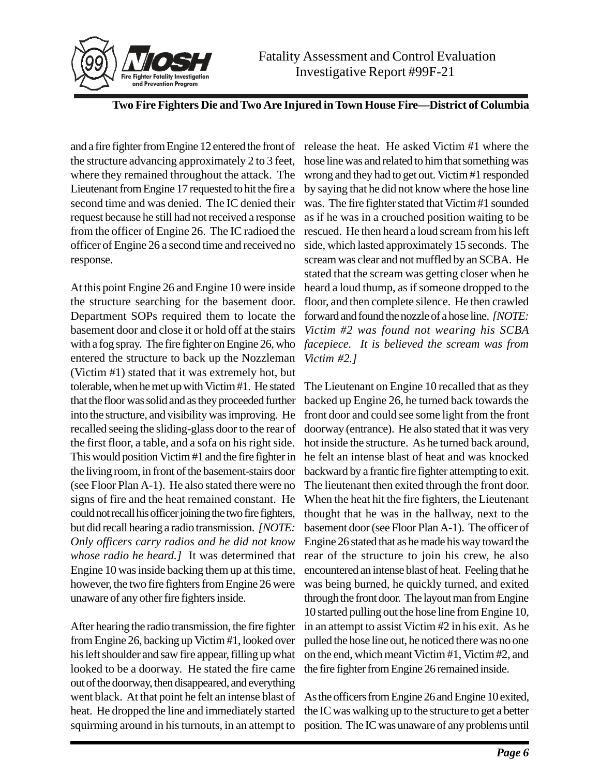

and a fire fighter from Engine 12 entered the front of the structure advancing approximately 2 to 3 feet, where they remained throughout the attack. The Lieutenant from Engine 17 requested to hit the fire a second time and was denied. The IC denied their request because he still had not received a response from the officer of Engine 26. The IC radioed the officer of Engine 26 a second time and received no response.

At this point Engine 26 and Engine 10 were inside the structure searching for the basement door. Department SOPs required them to locate the basement door and close it or hold off at the stairs with a fog spray. The fire fighter on Engine 26, who entered the structure to back up the Nozzleman (Victim #1) stated that it was extremely hot, but tolerable, when he met up with Victim #1. He stated that the floor was solid and as they proceeded further into the structure, and visibility was improving. He recalled seeing the sliding-glass door to the rear of the first floor, a table, and a sofa on his right side. This would position Victim #1 and the fire fighter in the living room, in front of the basement-stairs door (see Floor Plan A-1). He also stated there were no signs of fire and the heat remained constant. He could not recall his officer joining the two fire fighters, but did recall hearing a radio transmission. *[NOTE: Only officers carry radios and he did not know whose radio he heard.]* It was determined that Engine 10 was inside backing them up at this time, however, the two fire fighters from Engine 26 were unaware of any other fire fighters inside.

After hearing the radio transmission, the fire fighter from Engine 26, backing up Victim #1, looked over his left shoulder and saw fire appear, filling up what looked to be a doorway. He stated the fire came out of the doorway, then disappeared, and everything went black. At that point he felt an intense blast of heat. He dropped the line and immediately started squirming around in his turnouts, in an attempt to

release the heat. He asked Victim #1 where the hose line was and related to him that something was wrong and they had to get out. Victim #1 responded by saying that he did not know where the hose line was. The fire fighter stated that Victim #1 sounded as if he was in a crouched position waiting to be rescued. He then heard a loud scream from his left side, which lasted approximately 15 seconds. The scream was clear and not muffled by an SCBA. He stated that the scream was getting closer when he heard a loud thump, as if someone dropped to the floor, and then complete silence. He then crawled forward and found the nozzle of a hose line. *[NOTE: Victim #2 was found not wearing his SCBA facepiece. It is believed the scream was from Victim #2.]*

The Lieutenant on Engine 10 recalled that as they backed up Engine 26, he turned back towards the front door and could see some light from the front doorway (entrance). He also stated that it was very hot inside the structure. As he turned back around, he felt an intense blast of heat and was knocked backward by a frantic fire fighter attempting to exit. The lieutenant then exited through the front door. When the heat hit the fire fighters, the Lieutenant thought that he was in the hallway, next to the basement door (see Floor Plan A-1). The officer of Engine 26 stated that as he made his way toward the rear of the structure to join his crew, he also encountered an intense blast of heat. Feeling that he was being burned, he quickly turned, and exited through the front door. The layout man from Engine 10 started pulling out the hose line from Engine 10, in an attempt to assist Victim #2 in his exit. As he pulled the hose line out, he noticed there was no one on the end, which meant Victim #1, Victim #2, and the fire fighter from Engine 26 remained inside.

As the officers from Engine 26 and Engine 10 exited, the IC was walking up to the structure to get a better position. The IC was unaware of any problems until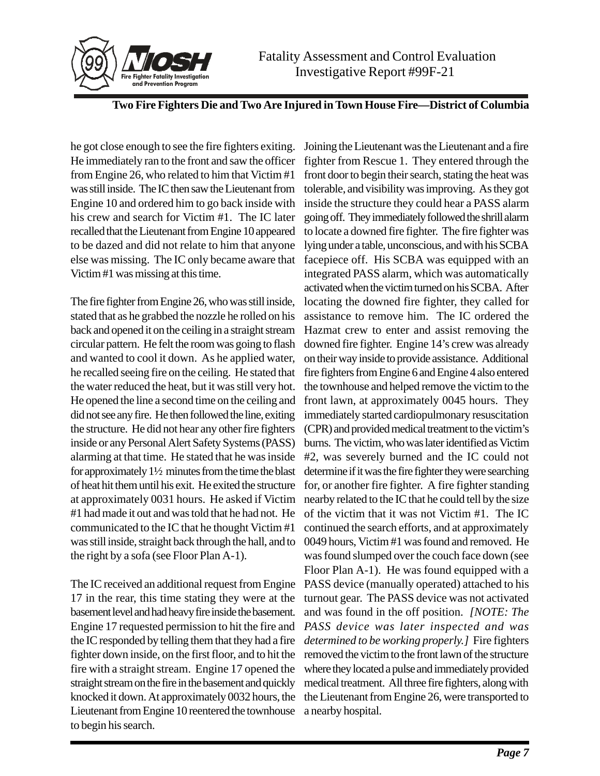

he got close enough to see the fire fighters exiting. He immediately ran to the front and saw the officer from Engine 26, who related to him that Victim #1 was still inside. The IC then saw the Lieutenant from Engine 10 and ordered him to go back inside with his crew and search for Victim #1. The IC later recalled that the Lieutenant from Engine 10 appeared to be dazed and did not relate to him that anyone else was missing. The IC only became aware that Victim #1 was missing at this time.

The fire fighter from Engine 26, who was still inside, stated that as he grabbed the nozzle he rolled on his back and opened it on the ceiling in a straight stream circular pattern. He felt the room was going to flash and wanted to cool it down. As he applied water, he recalled seeing fire on the ceiling. He stated that the water reduced the heat, but it was still very hot. He opened the line a second time on the ceiling and did not see any fire. He then followed the line, exiting the structure. He did not hear any other fire fighters inside or any Personal Alert Safety Systems (PASS) alarming at that time. He stated that he was inside for approximately 1½ minutes from the time the blast of heat hit them until his exit. He exited the structure at approximately 0031 hours. He asked if Victim #1 had made it out and was told that he had not. He communicated to the IC that he thought Victim #1 was still inside, straight back through the hall, and to the right by a sofa (see Floor Plan A-1).

The IC received an additional request from Engine 17 in the rear, this time stating they were at the basement level and had heavy fire inside the basement. Engine 17 requested permission to hit the fire and the IC responded by telling them that they had a fire fighter down inside, on the first floor, and to hit the fire with a straight stream. Engine 17 opened the straight stream on the fire in the basement and quickly knocked it down. At approximately 0032 hours, the Lieutenant from Engine 10 reentered the townhouse to begin his search.

Joining the Lieutenant was the Lieutenant and a fire fighter from Rescue 1. They entered through the front door to begin their search, stating the heat was tolerable, and visibility was improving. As they got inside the structure they could hear a PASS alarm going off. They immediately followed the shrill alarm to locate a downed fire fighter. The fire fighter was lying under a table, unconscious, and with his SCBA facepiece off. His SCBA was equipped with an integrated PASS alarm, which was automatically activated when the victim turned on his SCBA. After locating the downed fire fighter, they called for assistance to remove him. The IC ordered the Hazmat crew to enter and assist removing the downed fire fighter. Engine 14's crew was already on their way inside to provide assistance. Additional fire fighters from Engine 6 and Engine 4 also entered the townhouse and helped remove the victim to the front lawn, at approximately 0045 hours. They immediately started cardiopulmonary resuscitation (CPR) and provided medical treatment to the victim's burns. The victim, who was later identified as Victim #2, was severely burned and the IC could not determine if it was the fire fighter they were searching for, or another fire fighter. A fire fighter standing nearby related to the IC that he could tell by the size of the victim that it was not Victim #1. The IC continued the search efforts, and at approximately 0049 hours, Victim #1 was found and removed. He was found slumped over the couch face down (see Floor Plan A-1). He was found equipped with a PASS device (manually operated) attached to his turnout gear. The PASS device was not activated and was found in the off position. *[NOTE: The PASS device was later inspected and was determined to be working properly.]* Fire fighters removed the victim to the front lawn of the structure where they located a pulse and immediately provided medical treatment. All three fire fighters, along with the Lieutenant from Engine 26, were transported to a nearby hospital.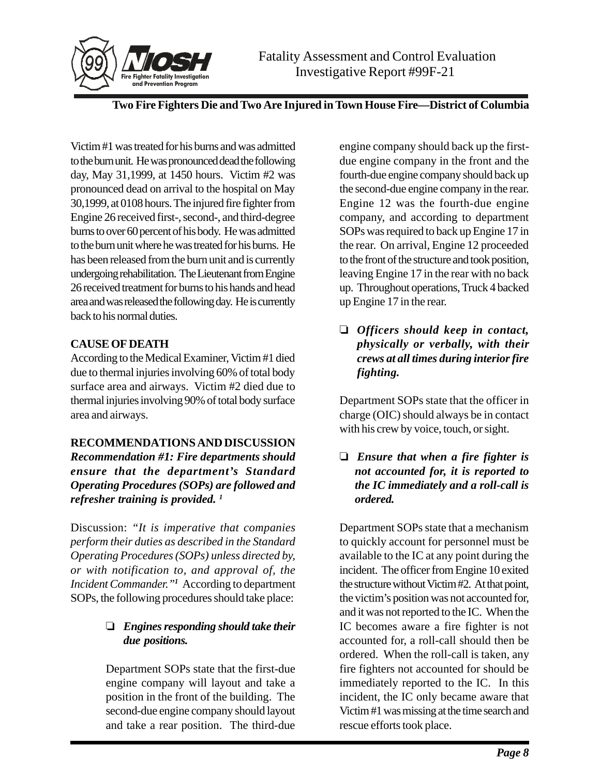

Victim #1 was treated for his burns and was admitted to the burn unit. He was pronounced dead the following day, May 31,1999, at 1450 hours. Victim #2 was pronounced dead on arrival to the hospital on May 30,1999, at 0108 hours. The injured fire fighter from Engine 26 received first-, second-, and third-degree burns to over 60 percent of his body. He was admitted to the burn unit where he was treated for his burns. He has been released from the burn unit and is currently undergoing rehabilitation. The Lieutenant from Engine 26 received treatment for burns to his hands and head area and was released the following day. He is currently back to his normal duties.

### **CAUSE OF DEATH**

According to the Medical Examiner, Victim #1 died due to thermal injuries involving 60% of total body surface area and airways. Victim #2 died due to thermal injuries involving 90% of total body surface area and airways.

### **RECOMMENDATIONS AND DISCUSSION**

*Recommendation #1: Fire departments should ensure that the department's Standard Operating Procedures (SOPs) are followed and refresher training is provided. 1*

Discussion: *"It is imperative that companies perform their duties as described in the Standard Operating Procedures (SOPs) unless directed by, or with notification to, and approval of, the Incident Commander."<sup>1</sup>* According to department SOPs, the following procedures should take place:

## *Engines responding should take their due positions.*

Department SOPs state that the first-due engine company will layout and take a position in the front of the building. The second-due engine company should layout and take a rear position. The third-due

engine company should back up the firstdue engine company in the front and the fourth-due engine company should back up the second-due engine company in the rear. Engine 12 was the fourth-due engine company, and according to department SOPs was required to back up Engine 17 in the rear. On arrival, Engine 12 proceeded to the front of the structure and took position, leaving Engine 17 in the rear with no back up. Throughout operations, Truck 4 backed up Engine 17 in the rear.

 *Officers should keep in contact, physically or verbally, with their crews at all times during interior fire fighting.*

Department SOPs state that the officer in charge (OIC) should always be in contact with his crew by voice, touch, or sight.

 *Ensure that when a fire fighter is not accounted for, it is reported to the IC immediately and a roll-call is ordered.*

Department SOPs state that a mechanism to quickly account for personnel must be available to the IC at any point during the incident. The officer from Engine 10 exited the structure without Victim #2. At that point, the victim's position was not accounted for, and it was not reported to the IC. When the IC becomes aware a fire fighter is not accounted for, a roll-call should then be ordered. When the roll-call is taken, any fire fighters not accounted for should be immediately reported to the IC. In this incident, the IC only became aware that Victim #1 was missing at the time search and rescue efforts took place.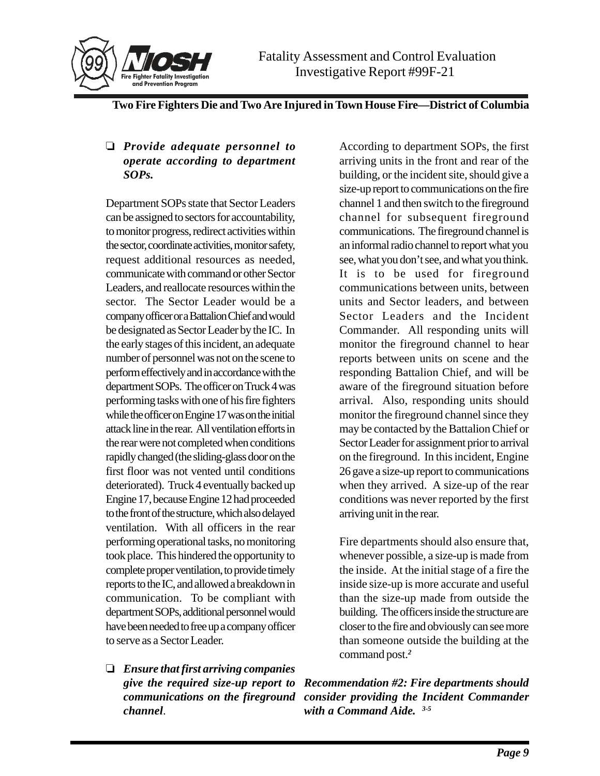

### *Provide adequate personnel to operate according to department SOPs.*

Department SOPs state that Sector Leaders can be assigned to sectors for accountability, to monitor progress, redirect activities within the sector, coordinate activities, monitor safety, request additional resources as needed, communicate with command or other Sector Leaders, and reallocate resources within the sector. The Sector Leader would be a company officer or a Battalion Chief and would be designated as Sector Leader by the IC. In the early stages of this incident, an adequate number of personnel was not on the scene to perform effectively and in accordance with the department SOPs. The officer on Truck 4 was performing tasks with one of his fire fighters while the officer on Engine 17 was on the initial attack line in the rear. All ventilation efforts in the rear were not completed when conditions rapidly changed (the sliding-glass door on the first floor was not vented until conditions deteriorated). Truck 4 eventually backed up Engine 17, because Engine 12 had proceeded to the front of the structure, which also delayed ventilation. With all officers in the rear performing operational tasks, no monitoring took place. This hindered the opportunity to complete proper ventilation, to provide timely reports to the IC, and allowed a breakdown in communication. To be compliant with department SOPs, additional personnel would have been needed to free up a company officer to serve as a Sector Leader.

 *Ensure that first arriving companies give the required size-up report to channel*.

According to department SOPs, the first arriving units in the front and rear of the building, or the incident site, should give a size-up report to communications on the fire channel 1 and then switch to the fireground channel for subsequent fireground communications. The fireground channel is an informal radio channel to report what you see, what you don't see, and what you think. It is to be used for fireground communications between units, between units and Sector leaders, and between Sector Leaders and the Incident Commander. All responding units will monitor the fireground channel to hear reports between units on scene and the responding Battalion Chief, and will be aware of the fireground situation before arrival. Also, responding units should monitor the fireground channel since they may be contacted by the Battalion Chief or Sector Leader for assignment prior to arrival on the fireground. In this incident, Engine 26 gave a size-up report to communications when they arrived. A size-up of the rear conditions was never reported by the first arriving unit in the rear.

Fire departments should also ensure that, whenever possible, a size-up is made from the inside. At the initial stage of a fire the inside size-up is more accurate and useful than the size-up made from outside the building. The officers inside the structure are closer to the fire and obviously can see more than someone outside the building at the command post.*<sup>2</sup>*

*communications on the fireground consider providing the Incident Commander Recommendation #2: Fire departments should with a Command Aide. 3-5*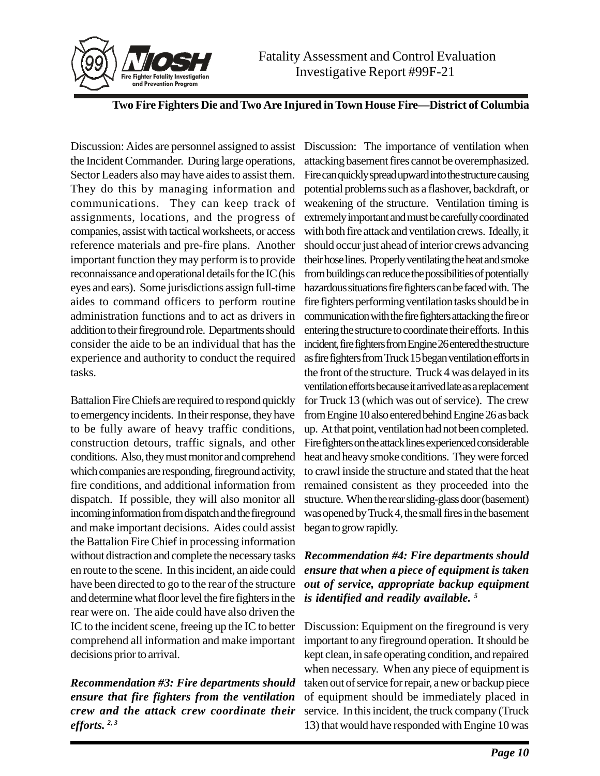



Discussion: Aides are personnel assigned to assist the Incident Commander. During large operations, Sector Leaders also may have aides to assist them. They do this by managing information and communications. They can keep track of assignments, locations, and the progress of companies, assist with tactical worksheets, or access reference materials and pre-fire plans. Another important function they may perform is to provide reconnaissance and operational details for the IC (his eyes and ears). Some jurisdictions assign full-time aides to command officers to perform routine administration functions and to act as drivers in addition to their fireground role. Departments should consider the aide to be an individual that has the experience and authority to conduct the required tasks.

Battalion Fire Chiefs are required to respond quickly to emergency incidents. In their response, they have to be fully aware of heavy traffic conditions, construction detours, traffic signals, and other conditions. Also, they must monitor and comprehend which companies are responding, fireground activity, fire conditions, and additional information from dispatch. If possible, they will also monitor all incoming information from dispatch and the fireground and make important decisions. Aides could assist the Battalion Fire Chief in processing information without distraction and complete the necessary tasks en route to the scene. In this incident, an aide could have been directed to go to the rear of the structure and determine what floor level the fire fighters in the rear were on. The aide could have also driven the IC to the incident scene, freeing up the IC to better comprehend all information and make important decisions prior to arrival.

*Recommendation #3: Fire departments should ensure that fire fighters from the ventilation crew and the attack crew coordinate their efforts. 2, 3*

Discussion: The importance of ventilation when attacking basement fires cannot be overemphasized. Fire can quickly spread upward into the structure causing potential problems such as a flashover, backdraft, or weakening of the structure. Ventilation timing is extremely important and must be carefully coordinated with both fire attack and ventilation crews. Ideally, it should occur just ahead of interior crews advancing their hose lines. Properly ventilating the heat and smoke from buildings can reduce the possibilities of potentially hazardous situations fire fighters can be faced with. The fire fighters performing ventilation tasks should be in communication with the fire fighters attacking the fire or entering the structure to coordinate their efforts. In this incident, fire fighters from Engine 26 entered the structure as fire fighters from Truck 15 began ventilation efforts in the front of the structure. Truck 4 was delayed in its ventilation efforts because it arrived late as a replacement for Truck 13 (which was out of service). The crew from Engine 10 also entered behind Engine 26 as back up. At that point, ventilation had not been completed. Fire fighters on the attack lines experienced considerable heat and heavy smoke conditions. They were forced to crawl inside the structure and stated that the heat remained consistent as they proceeded into the structure. When the rear sliding-glass door (basement) was opened by Truck 4, the small fires in the basement began to grow rapidly.

# *Recommendation #4: Fire departments should ensure that when a piece of equipment is taken out of service, appropriate backup equipment is identified and readily available. 5*

Discussion: Equipment on the fireground is very important to any fireground operation. It should be kept clean, in safe operating condition, and repaired when necessary. When any piece of equipment is taken out of service for repair, a new or backup piece of equipment should be immediately placed in service. In this incident, the truck company (Truck 13) that would have responded with Engine 10 was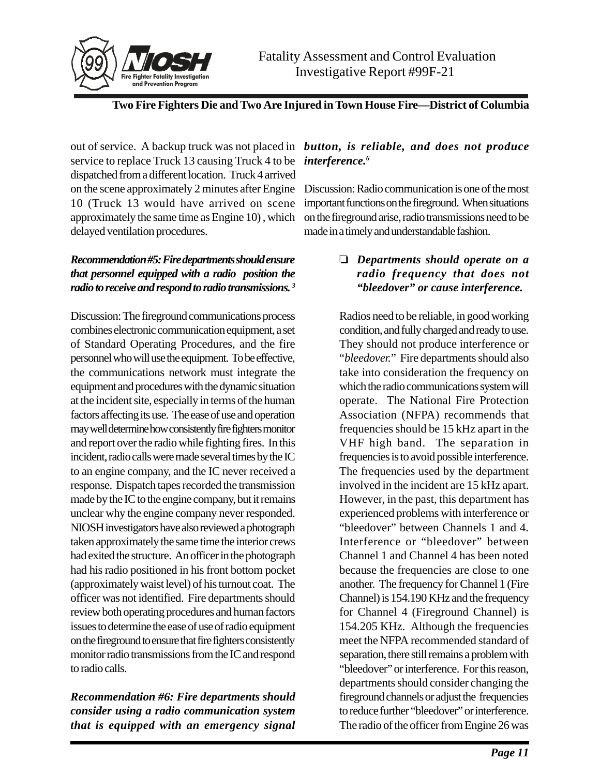

out of service. A backup truck was not placed in *button, is reliable, and does not produce* service to replace Truck 13 causing Truck 4 to be *interference*.<sup>6</sup> dispatched from a different location. Truck 4 arrived on the scene approximately 2 minutes after Engine 10 (Truck 13 would have arrived on scene approximately the same time as Engine 10) , which delayed ventilation procedures.

# *Recommendation #5: Fire departments should ensure that personnel equipped with a radio position the radio to receive and respond to radio transmissions. <sup>3</sup>*

Discussion: The fireground communications process combines electronic communication equipment, a set of Standard Operating Procedures, and the fire personnel who will use the equipment. To be effective, the communications network must integrate the equipment and procedures with the dynamic situation at the incident site, especially in terms of the human factors affecting its use. The ease of use and operation may well determine how consistently fire fighters monitor and report over the radio while fighting fires. In this incident, radio calls were made several times by the IC to an engine company, and the IC never received a response. Dispatch tapes recorded the transmission made by the IC to the engine company, but it remains unclear why the engine company never responded. NIOSH investigators have also reviewed a photograph taken approximately the same time the interior crews had exited the structure. An officer in the photograph had his radio positioned in his front bottom pocket (approximately waist level) of his turnout coat. The officer was not identified. Fire departments should review both operating procedures and human factors issues to determine the ease of use of radio equipment on the fireground to ensure that fire fighters consistently monitor radio transmissions from the IC and respond to radio calls.

*Recommendation #6: Fire departments should consider using a radio communication system that is equipped with an emergency signal*

Discussion: Radio communication is one of the most important functions on the fireground. When situations on the fireground arise, radio transmissions need to be made in a timely and understandable fashion.

# *Departments should operate on a radio frequency that does not "bleedover" or cause interference.*

Radios need to be reliable, in good working condition, and fully charged and ready to use. They should not produce interference or "*bleedover.*" Fire departments should also take into consideration the frequency on which the radio communications system will operate. The National Fire Protection Association (NFPA) recommends that frequencies should be 15 kHz apart in the VHF high band. The separation in frequencies is to avoid possible interference. The frequencies used by the department involved in the incident are 15 kHz apart. However, in the past, this department has experienced problems with interference or "bleedover" between Channels 1 and 4. Interference or "bleedover" between Channel 1 and Channel 4 has been noted because the frequencies are close to one another. The frequency for Channel 1 (Fire Channel) is 154.190 KHz and the frequency for Channel 4 (Fireground Channel) is 154.205 KHz. Although the frequencies meet the NFPA recommended standard of separation, there still remains a problem with "bleedover" or interference. For this reason, departments should consider changing the fireground channels or adjust the frequencies to reduce further "bleedover" or interference. The radio of the officer from Engine 26 was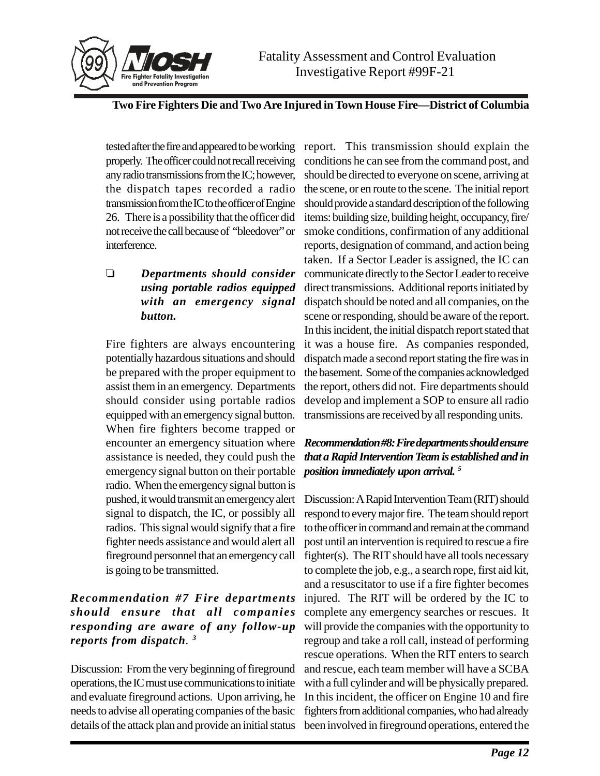

tested after the fire and appeared to be working properly. The officer could not recall receiving any radio transmissions from the IC; however, the dispatch tapes recorded a radio transmission from the IC to the officer of Engine 26. There is a possibility that the officer did not receive the call because of "bleedover" or interference.

# *Departments should consider using portable radios equipped with an emergency signal button.*

Fire fighters are always encountering potentially hazardous situations and should be prepared with the proper equipment to assist them in an emergency. Departments should consider using portable radios equipped with an emergency signal button. When fire fighters become trapped or encounter an emergency situation where assistance is needed, they could push the emergency signal button on their portable radio. When the emergency signal button is pushed, it would transmit an emergency alert signal to dispatch, the IC, or possibly all radios. This signal would signify that a fire fighter needs assistance and would alert all fireground personnel that an emergency call is going to be transmitted.

# *Recommendation #7 Fire departments should ensure that all companies responding are aware of any follow-up reports from dispatch. <sup>3</sup>*

Discussion: From the very beginning of fireground operations, the IC must use communications to initiate and evaluate fireground actions. Upon arriving, he needs to advise all operating companies of the basic details of the attack plan and provide an initial status

report. This transmission should explain the conditions he can see from the command post, and should be directed to everyone on scene, arriving at the scene, or en route to the scene. The initial report should provide a standard description of the following items: building size, building height, occupancy, fire/ smoke conditions, confirmation of any additional reports, designation of command, and action being taken. If a Sector Leader is assigned, the IC can communicate directly to the Sector Leader to receive direct transmissions. Additional reports initiated by dispatch should be noted and all companies, on the scene or responding, should be aware of the report. In this incident, the initial dispatch report stated that it was a house fire. As companies responded, dispatch made a second report stating the fire was in the basement. Some of the companies acknowledged the report, others did not. Fire departments should develop and implement a SOP to ensure all radio transmissions are received by all responding units.

# *Recommendation #8: Fire departments should ensure that a Rapid Intervention Team is established and in position immediately upon arrival. 5*

Discussion: A Rapid Intervention Team (RIT) should respond to every major fire. The team should report to the officer in command and remain at the command post until an intervention is required to rescue a fire fighter(s). The RIT should have all tools necessary to complete the job, e.g., a search rope, first aid kit, and a resuscitator to use if a fire fighter becomes injured. The RIT will be ordered by the IC to complete any emergency searches or rescues. It will provide the companies with the opportunity to regroup and take a roll call, instead of performing rescue operations. When the RIT enters to search and rescue, each team member will have a SCBA with a full cylinder and will be physically prepared. In this incident, the officer on Engine 10 and fire fighters from additional companies, who had already been involved in fireground operations, entered the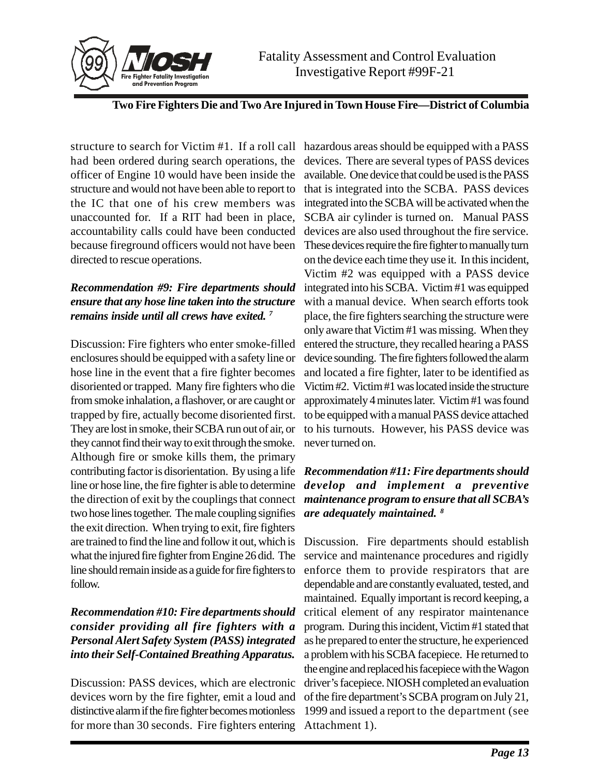

structure to search for Victim #1. If a roll call hazardous areas should be equipped with a PASS had been ordered during search operations, the officer of Engine 10 would have been inside the structure and would not have been able to report to the IC that one of his crew members was unaccounted for. If a RIT had been in place, accountability calls could have been conducted because fireground officers would not have been directed to rescue operations.

# *Recommendation #9: Fire departments should ensure that any hose line taken into the structure remains inside until all crews have exited. <sup>7</sup>*

Discussion: Fire fighters who enter smoke-filled enclosures should be equipped with a safety line or hose line in the event that a fire fighter becomes disoriented or trapped. Many fire fighters who die from smoke inhalation, a flashover, or are caught or trapped by fire, actually become disoriented first. They are lost in smoke, their SCBA run out of air, or they cannot find their way to exit through the smoke. Although fire or smoke kills them, the primary contributing factor is disorientation. By using a life *Recommendation #11: Fire departments should* line or hose line, the fire fighter is able to determine the direction of exit by the couplings that connect *maintenance program to ensure that all SCBA's* two hose lines together. The male coupling signifies the exit direction. When trying to exit, fire fighters are trained to find the line and follow it out, which is what the injured fire fighter from Engine 26 did. The line should remain inside as a guide for fire fighters to follow.

# *Recommendation #10: Fire departments should consider providing all fire fighters with a Personal Alert Safety System (PASS) integrated into their Self-Contained Breathing Apparatus.*

Discussion: PASS devices, which are electronic devices worn by the fire fighter, emit a loud and distinctive alarm if the fire fighter becomes motionless for more than 30 seconds. Fire fighters entering

devices. There are several types of PASS devices available. One device that could be used is the PASS that is integrated into the SCBA. PASS devices integrated into the SCBA will be activated when the SCBA air cylinder is turned on. Manual PASS devices are also used throughout the fire service. These devices require the fire fighter to manually turn on the device each time they use it. In this incident, Victim #2 was equipped with a PASS device integrated into his SCBA. Victim #1 was equipped with a manual device. When search efforts took place, the fire fighters searching the structure were only aware that Victim #1 was missing. When they entered the structure, they recalled hearing a PASS device sounding. The fire fighters followed the alarm and located a fire fighter, later to be identified as Victim #2. Victim #1 was located inside the structure approximately 4 minutes later. Victim #1 was found to be equipped with a manual PASS device attached to his turnouts. However, his PASS device was never turned on.

# *develop and implement a preventive are adequately maintained. <sup>8</sup>*

Discussion. Fire departments should establish service and maintenance procedures and rigidly enforce them to provide respirators that are dependable and are constantly evaluated, tested, and maintained. Equally important is record keeping, a critical element of any respirator maintenance program. During this incident, Victim #1 stated that as he prepared to enter the structure, he experienced a problem with his SCBA facepiece. He returned to the engine and replaced his facepiece with the Wagon driver's facepiece. NIOSH completed an evaluation of the fire department's SCBA program on July 21, 1999 and issued a report to the department (see Attachment 1).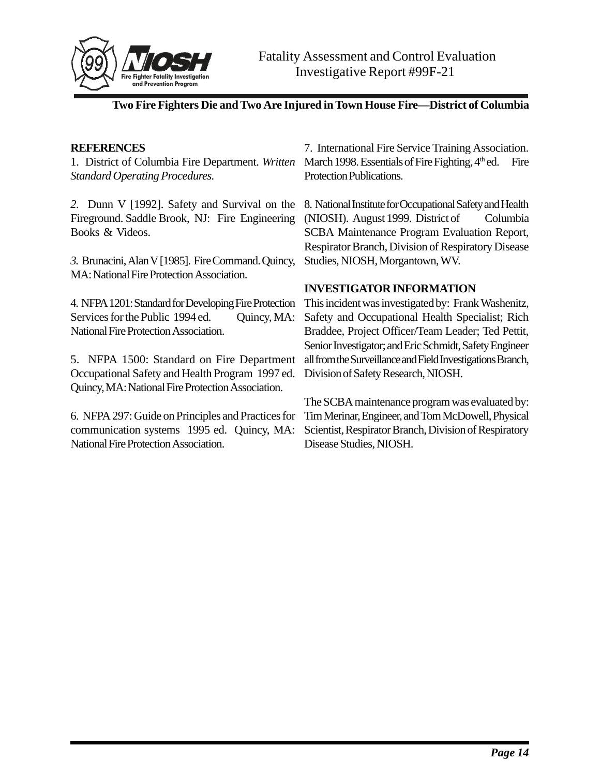

### **REFERENCES**

1. District of Columbia Fire Department. *Written Standard Operating Procedures.*

*2.* Dunn V [1992]. Safety and Survival on the Fireground. Saddle Brook, NJ: Fire Engineering Books & Videos.

*3.* Brunacini, Alan V [1985]. Fire Command. Quincy, MA: National Fire Protection Association.

4. NFPA 1201: Standard for Developing Fire Protection Services for the Public 1994 ed. Quincy, MA: National Fire Protection Association.

5. NFPA 1500: Standard on Fire Department Occupational Safety and Health Program 1997 ed. Quincy, MA: National Fire Protection Association.

6. NFPA 297: Guide on Principles and Practices for communication systems 1995 ed. Quincy, MA: National Fire Protection Association.

7. International Fire Service Training Association. March 1998. Essentials of Fire Fighting,  $4<sup>th</sup>$  ed. Fire Protection Publications.

8. National Institute for Occupational Safety and Health (NIOSH). August 1999. District of Columbia SCBA Maintenance Program Evaluation Report, Respirator Branch, Division of Respiratory Disease Studies, NIOSH, Morgantown, WV.

### **INVESTIGATOR INFORMATION**

This incident was investigated by: Frank Washenitz, Safety and Occupational Health Specialist; Rich Braddee, Project Officer/Team Leader; Ted Pettit, Senior Investigator; and Eric Schmidt, Safety Engineer all from the Surveillance and Field Investigations Branch, Division of Safety Research, NIOSH.

The SCBA maintenance program was evaluated by: Tim Merinar, Engineer, and Tom McDowell, Physical Scientist, Respirator Branch, Division of Respiratory Disease Studies, NIOSH.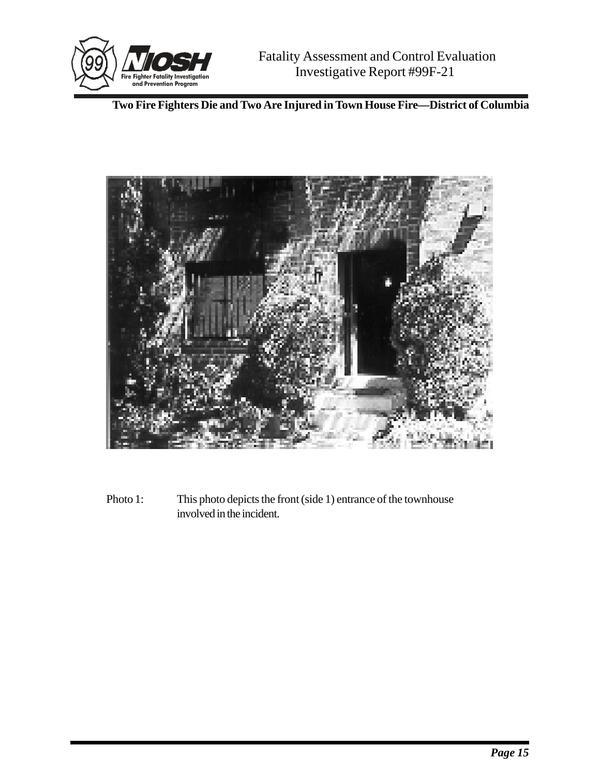



Photo 1: This photo depicts the front (side 1) entrance of the townhouse involved in the incident.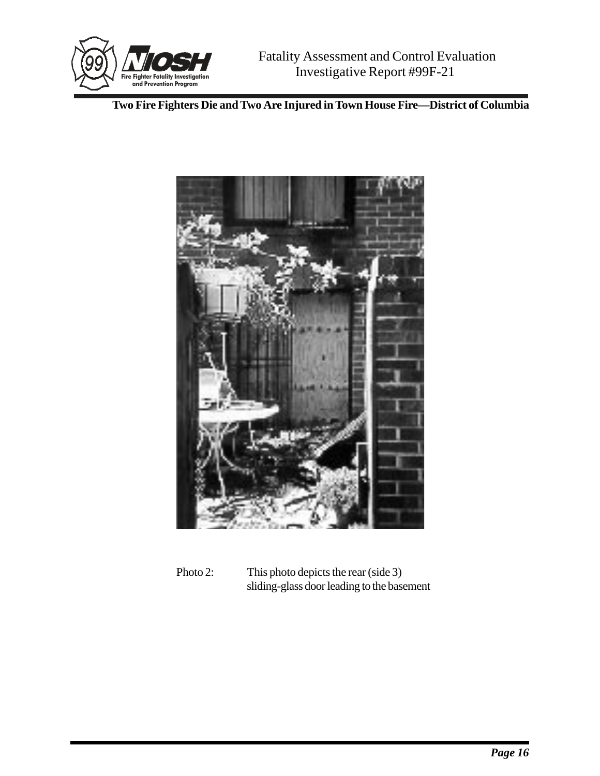



Photo 2: This photo depicts the rear (side 3) sliding-glass door leading to the basement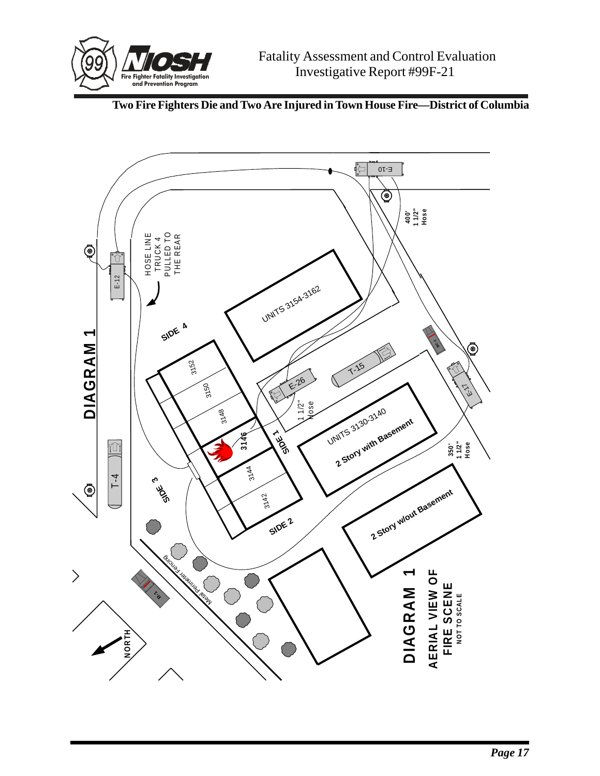

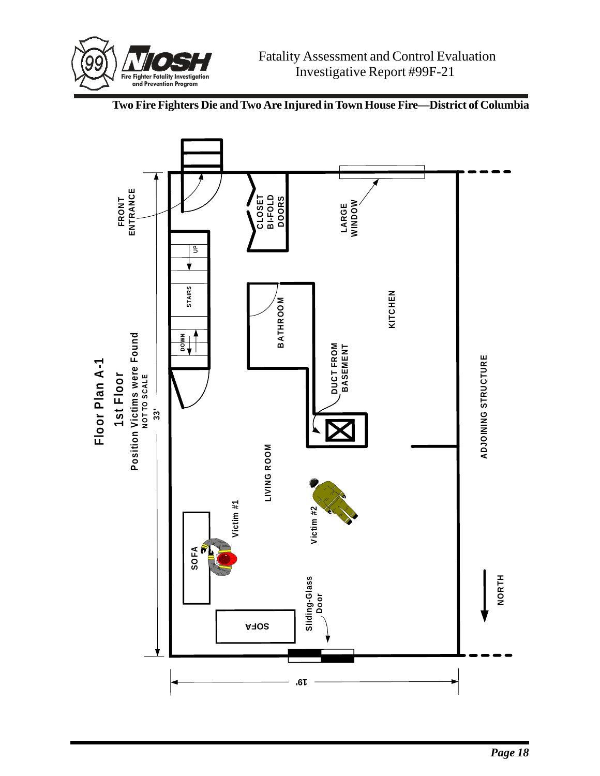